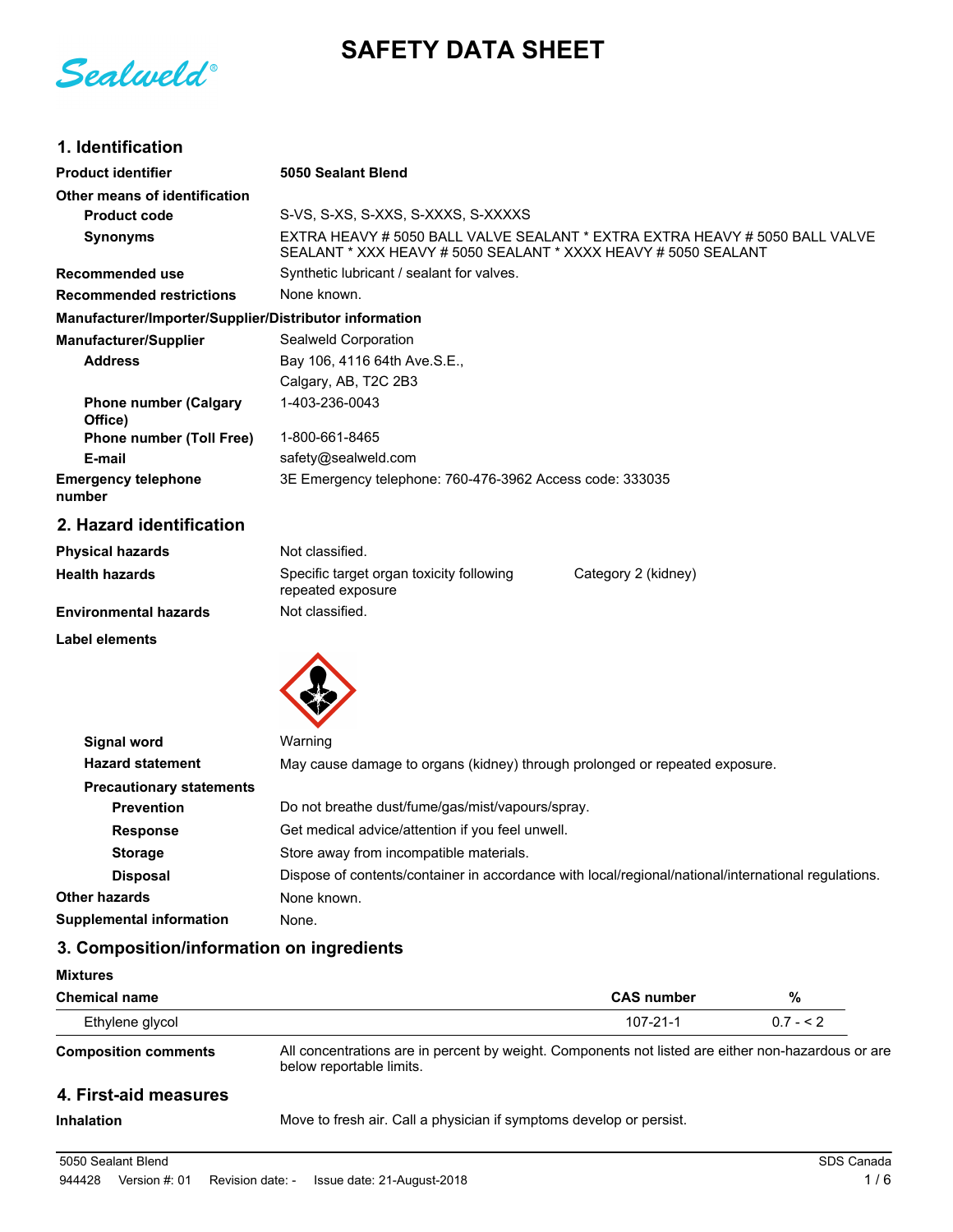**SAFETY DATA SHEET**

Sealweld®

# **1. Identification**

| <b>Product identifier</b>                              | 5050 Sealant Blend                                                                                                                            |  |  |
|--------------------------------------------------------|-----------------------------------------------------------------------------------------------------------------------------------------------|--|--|
| Other means of identification                          |                                                                                                                                               |  |  |
| <b>Product code</b>                                    | S-VS, S-XS, S-XXS, S-XXXS, S-XXXXS                                                                                                            |  |  |
| <b>Synonyms</b>                                        | EXTRA HEAVY # 5050 BALL VALVE SEALANT * EXTRA EXTRA HEAVY # 5050 BALL VALVE<br>SEALANT * XXX HEAVY # 5050 SEALANT * XXXX HEAVY # 5050 SEALANT |  |  |
| <b>Recommended use</b>                                 | Synthetic lubricant / sealant for valves.                                                                                                     |  |  |
| <b>Recommended restrictions</b>                        | None known.                                                                                                                                   |  |  |
| Manufacturer/Importer/Supplier/Distributor information |                                                                                                                                               |  |  |
| <b>Manufacturer/Supplier</b>                           | Sealweld Corporation                                                                                                                          |  |  |
| <b>Address</b>                                         | Bay 106, 4116 64th Ave.S.E.,                                                                                                                  |  |  |
|                                                        | Calgary, AB, T2C 2B3                                                                                                                          |  |  |
| <b>Phone number (Calgary</b><br>Office)                | 1-403-236-0043                                                                                                                                |  |  |
| <b>Phone number (Toll Free)</b>                        | 1-800-661-8465                                                                                                                                |  |  |
| E-mail                                                 | safety@sealweld.com                                                                                                                           |  |  |
| <b>Emergency telephone</b><br>number                   | 3E Emergency telephone: 760-476-3962 Access code: 333035                                                                                      |  |  |
| 2. Hazard identification                               |                                                                                                                                               |  |  |
| <b>Physical hazards</b>                                | Not classified.                                                                                                                               |  |  |
| <b>Health hazards</b>                                  | Specific target organ toxicity following<br>Category 2 (kidney)<br>repeated exposure                                                          |  |  |
| <b>Environmental hazards</b>                           | Not classified.                                                                                                                               |  |  |
| <b>Label elements</b>                                  |                                                                                                                                               |  |  |
|                                                        |                                                                                                                                               |  |  |
| <b>Signal word</b>                                     | Warning                                                                                                                                       |  |  |
| <b>Hazard statement</b>                                | May cause damage to organs (kidney) through prolonged or repeated exposure.                                                                   |  |  |
| <b>Precautionary statements</b>                        |                                                                                                                                               |  |  |
| <b>Prevention</b>                                      | Do not breathe dust/fume/gas/mist/vapours/spray.                                                                                              |  |  |
| <b>Response</b>                                        | Get medical advice/attention if you feel unwell.                                                                                              |  |  |

**Storage** Store away from incompatible materials. **Disposal** Dispose of contents/container in accordance with local/regional/national/international regulations. **Other hazards** None known. **Supplemental information** None.

## **3. Composition/information on ingredients**

| <b>Mixtures</b>             |                                                                                                                                |                   |           |  |
|-----------------------------|--------------------------------------------------------------------------------------------------------------------------------|-------------------|-----------|--|
| <b>Chemical name</b>        |                                                                                                                                | <b>CAS</b> number | %         |  |
| Ethylene glycol             |                                                                                                                                | $107 - 21 - 1$    | $0.7 - 2$ |  |
| <b>Composition comments</b> | All concentrations are in percent by weight. Components not listed are either non-hazardous or are<br>below reportable limits. |                   |           |  |
| 4. First-aid measures       |                                                                                                                                |                   |           |  |
| Inhalation                  | Move to fresh air. Call a physician if symptoms develop or persist                                                             |                   |           |  |

**Inhalation** Move to fresh air. Call a physician if symptoms develop or persist.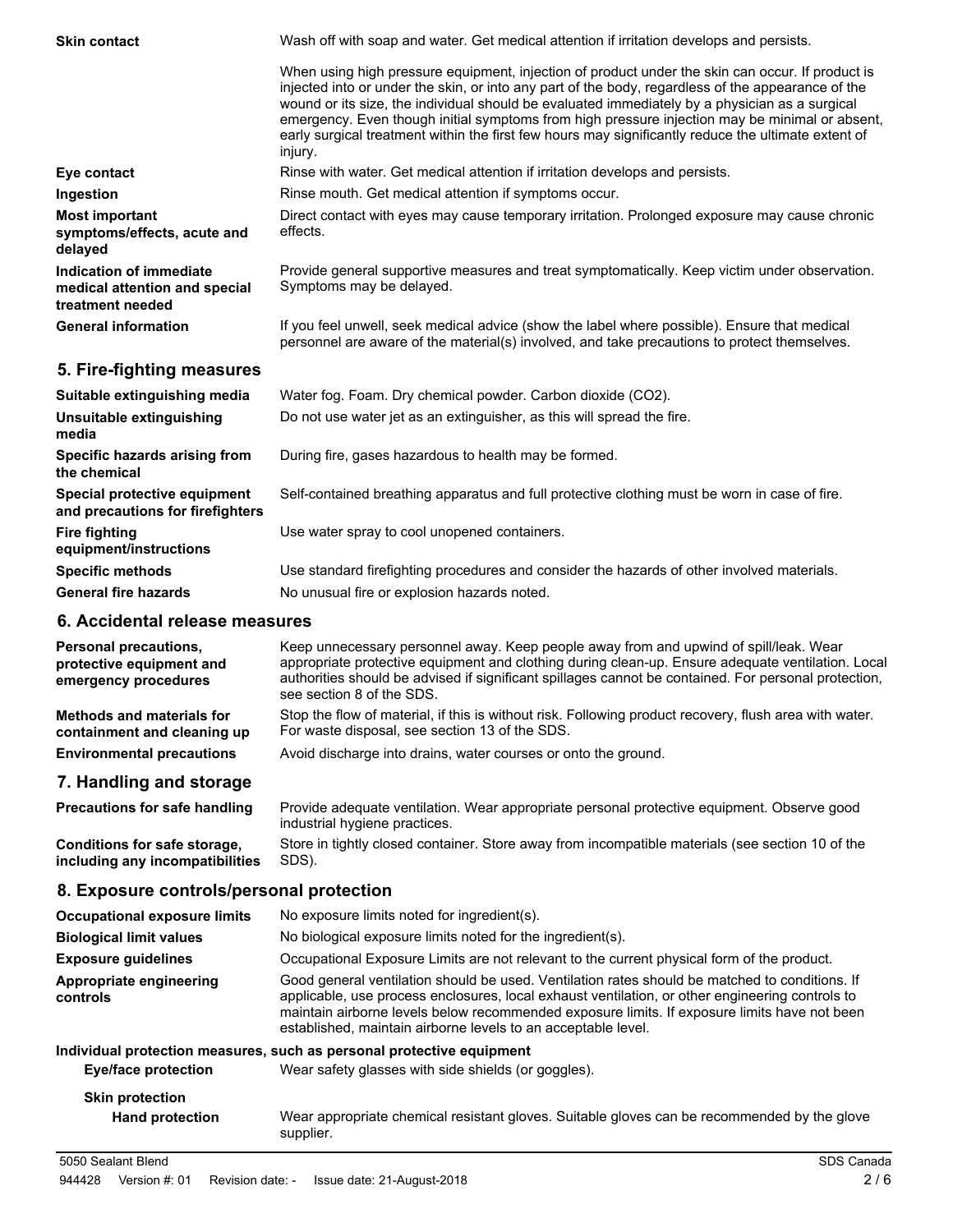Wash off with soap and water. Get medical attention if irritation develops and persists. When using high pressure equipment, injection of product under the skin can occur. If product is injected into or under the skin, or into any part of the body, regardless of the appearance of the wound or its size, the individual should be evaluated immediately by a physician as a surgical emergency. Even though initial symptoms from high pressure injection may be minimal or absent, early surgical treatment within the first few hours may significantly reduce the ultimate extent of injury. **Skin contact Eye contact Rinse with water. Get medical attention if irritation develops and persists. Ingestion Rinse mouth. Get medical attention if symptoms occur.** Direct contact with eyes may cause temporary irritation. Prolonged exposure may cause chronic effects. **Most important symptoms/effects, acute and delayed** Provide general supportive measures and treat symptomatically. Keep victim under observation. Symptoms may be delayed. **Indication of immediate medical attention and special treatment needed** If you feel unwell, seek medical advice (show the label where possible). Ensure that medical personnel are aware of the material(s) involved, and take precautions to protect themselves. **General information**

## **5. Fire-fighting measures**

| Suitable extinguishing media                                     | Water fog. Foam. Dry chemical powder. Carbon dioxide (CO2).                                   |
|------------------------------------------------------------------|-----------------------------------------------------------------------------------------------|
| Unsuitable extinguishing<br>media                                | Do not use water jet as an extinguisher, as this will spread the fire.                        |
| Specific hazards arising from<br>the chemical                    | During fire, gases hazardous to health may be formed.                                         |
| Special protective equipment<br>and precautions for firefighters | Self-contained breathing apparatus and full protective clothing must be worn in case of fire. |
| <b>Fire fighting</b><br>equipment/instructions                   | Use water spray to cool unopened containers.                                                  |
| <b>Specific methods</b>                                          | Use standard firefighting procedures and consider the hazards of other involved materials.    |
| <b>General fire hazards</b>                                      | No unusual fire or explosion hazards noted.                                                   |

#### **6. Accidental release measures**

| <b>Personal precautions,</b><br>protective equipment and<br>emergency procedures | Keep unnecessary personnel away. Keep people away from and upwind of spill/leak. Wear<br>appropriate protective equipment and clothing during clean-up. Ensure adequate ventilation. Local<br>authorities should be advised if significant spillages cannot be contained. For personal protection,<br>see section 8 of the SDS. |
|----------------------------------------------------------------------------------|---------------------------------------------------------------------------------------------------------------------------------------------------------------------------------------------------------------------------------------------------------------------------------------------------------------------------------|
| <b>Methods and materials for</b><br>containment and cleaning up                  | Stop the flow of material, if this is without risk. Following product recovery, flush area with water.<br>For waste disposal, see section 13 of the SDS.                                                                                                                                                                        |
| <b>Environmental precautions</b>                                                 | Avoid discharge into drains, water courses or onto the ground.                                                                                                                                                                                                                                                                  |
| 7. Handling and storage                                                          |                                                                                                                                                                                                                                                                                                                                 |

#### Provide adequate ventilation. Wear appropriate personal protective equipment. Observe good industrial hygiene practices. **Precautions for safe handling** Store in tightly closed container. Store away from incompatible materials (see section 10 of the SDS). **Conditions for safe storage, including any incompatibilities**

## **8. Exposure controls/personal protection**

| <b>Occupational exposure limits</b>              | No exposure limits noted for ingredient(s).                                                                                                                                                                                                                                                                                                                        |  |  |
|--------------------------------------------------|--------------------------------------------------------------------------------------------------------------------------------------------------------------------------------------------------------------------------------------------------------------------------------------------------------------------------------------------------------------------|--|--|
| <b>Biological limit values</b>                   | No biological exposure limits noted for the ingredient(s).                                                                                                                                                                                                                                                                                                         |  |  |
| <b>Exposure guidelines</b>                       | Occupational Exposure Limits are not relevant to the current physical form of the product.                                                                                                                                                                                                                                                                         |  |  |
| Appropriate engineering<br>controls              | Good general ventilation should be used. Ventilation rates should be matched to conditions. If<br>applicable, use process enclosures, local exhaust ventilation, or other engineering controls to<br>maintain airborne levels below recommended exposure limits. If exposure limits have not been<br>established, maintain airborne levels to an acceptable level. |  |  |
|                                                  | Individual protection measures, such as personal protective equipment                                                                                                                                                                                                                                                                                              |  |  |
| <b>Eye/face protection</b>                       | Wear safety glasses with side shields (or goggles).                                                                                                                                                                                                                                                                                                                |  |  |
| <b>Skin protection</b><br><b>Hand protection</b> | Wear appropriate chemical resistant gloves. Suitable gloves can be recommended by the glove                                                                                                                                                                                                                                                                        |  |  |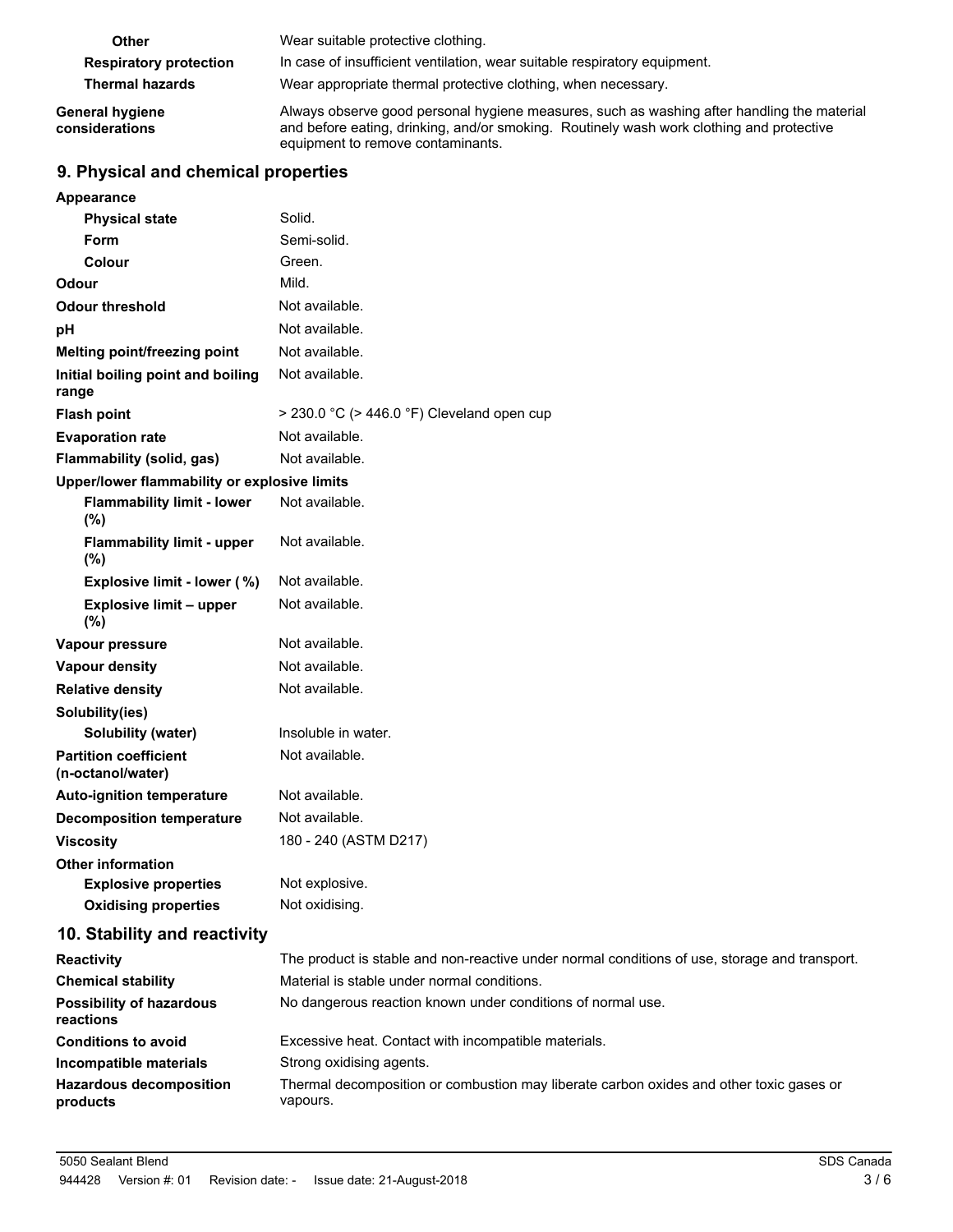| Other                             | Wear suitable protective clothing.                                                                                                                                                                                          |  |  |
|-----------------------------------|-----------------------------------------------------------------------------------------------------------------------------------------------------------------------------------------------------------------------------|--|--|
| <b>Respiratory protection</b>     | In case of insufficient ventilation, wear suitable respiratory equipment.                                                                                                                                                   |  |  |
| <b>Thermal hazards</b>            | Wear appropriate thermal protective clothing, when necessary.                                                                                                                                                               |  |  |
| General hygiene<br>considerations | Always observe good personal hygiene measures, such as washing after handling the material<br>and before eating, drinking, and/or smoking. Routinely wash work clothing and protective<br>equipment to remove contaminants. |  |  |

## **9. Physical and chemical properties**

| <b>Appearance</b>                                 |                                                                |
|---------------------------------------------------|----------------------------------------------------------------|
| <b>Physical state</b>                             | Solid.                                                         |
| Form                                              | Semi-solid                                                     |
| Colour                                            | Green.                                                         |
| Odour                                             | Mild.                                                          |
| <b>Odour threshold</b>                            | Not available.                                                 |
| рH                                                | Not available.                                                 |
| Melting point/freezing point                      | Not available.                                                 |
| Initial boiling point and boiling<br>range        | Not available.                                                 |
| <b>Flash point</b>                                | $>$ 230.0 °C ( $>$ 446.0 °F) Cleveland open cup                |
| <b>Evaporation rate</b>                           | Not available.                                                 |
| Flammability (solid, gas)                         | Not available.                                                 |
| Upper/lower flammability or explosive limits      |                                                                |
| <b>Flammability limit - lower</b><br>(%)          | Not available.                                                 |
| <b>Flammability limit - upper</b><br>$(\%)$       | Not available.                                                 |
| Explosive limit - lower (%)                       | Not available.                                                 |
| Explosive limit - upper<br>$(\%)$                 | Not available.                                                 |
| Vapour pressure                                   | Not available.                                                 |
| <b>Vapour density</b>                             | Not available.                                                 |
| <b>Relative density</b>                           | Not available.                                                 |
| Solubility(ies)                                   |                                                                |
| <b>Solubility (water)</b>                         | Insoluble in water.                                            |
| <b>Partition coefficient</b><br>(n-octanol/water) | Not available.                                                 |
| <b>Auto-ignition temperature</b>                  | Not available.                                                 |
| <b>Decomposition temperature</b>                  | Not available.                                                 |
| <b>Viscosity</b>                                  | 180 - 240 (ASTM D217)                                          |
| <b>Other information</b>                          |                                                                |
| <b>Explosive properties</b>                       | Not explosive.                                                 |
| <b>Oxidising properties</b>                       | Not oxidising.                                                 |
| 10. Stability and reactivity                      |                                                                |
| <b>Reactivity</b>                                 | The product is stable and non-reactive under normal condition- |

| The product is stable and non-reactive under normal conditions of use, storage and transport.       |
|-----------------------------------------------------------------------------------------------------|
| Material is stable under normal conditions.                                                         |
| No dangerous reaction known under conditions of normal use.                                         |
| Excessive heat. Contact with incompatible materials.                                                |
| Strong oxidising agents.                                                                            |
| Thermal decomposition or combustion may liberate carbon oxides and other toxic gases or<br>vapours. |
|                                                                                                     |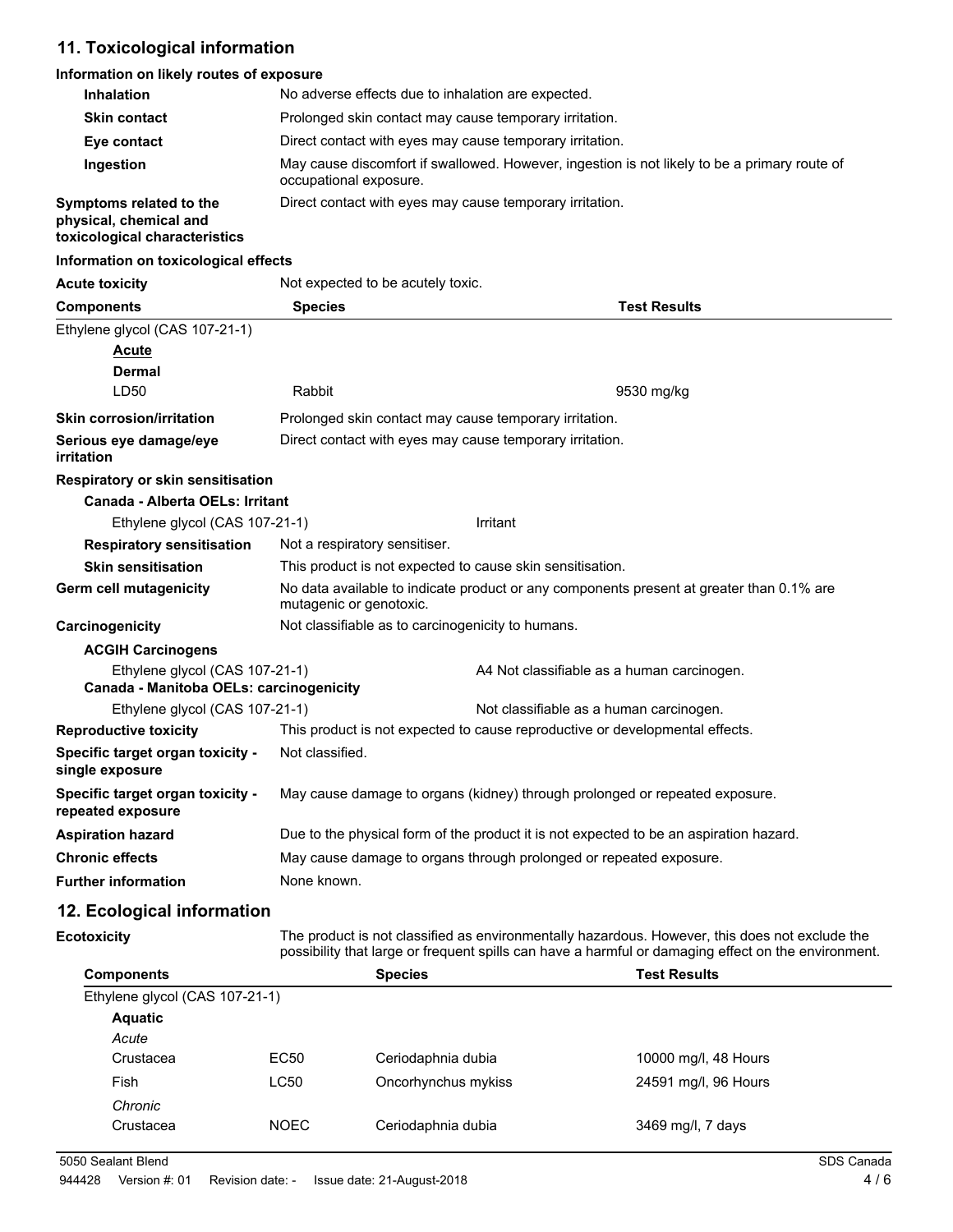## **11. Toxicological information**

#### **Information on likely routes of exposure**

| <b>Inhalation</b>                                                                  | No adverse effects due to inhalation are expected.                                                                     |  |  |
|------------------------------------------------------------------------------------|------------------------------------------------------------------------------------------------------------------------|--|--|
| <b>Skin contact</b>                                                                | Prolonged skin contact may cause temporary irritation.                                                                 |  |  |
| Eye contact                                                                        | Direct contact with eyes may cause temporary irritation.                                                               |  |  |
| Ingestion                                                                          | May cause discomfort if swallowed. However, ingestion is not likely to be a primary route of<br>occupational exposure. |  |  |
| Symptoms related to the<br>physical, chemical and<br>toxicological characteristics | Direct contact with eyes may cause temporary irritation.                                                               |  |  |

#### **Information on toxicological effects**

| <b>Acute toxicity</b>                                                     | Not expected to be acutely toxic.                                                                                   |                                                                                        |  |  |
|---------------------------------------------------------------------------|---------------------------------------------------------------------------------------------------------------------|----------------------------------------------------------------------------------------|--|--|
| <b>Components</b>                                                         | <b>Test Results</b><br><b>Species</b>                                                                               |                                                                                        |  |  |
| Ethylene glycol (CAS 107-21-1)                                            |                                                                                                                     |                                                                                        |  |  |
| <b>Acute</b>                                                              |                                                                                                                     |                                                                                        |  |  |
| <b>Dermal</b>                                                             |                                                                                                                     |                                                                                        |  |  |
| LD <sub>50</sub>                                                          | Rabbit                                                                                                              | 9530 mg/kg                                                                             |  |  |
| <b>Skin corrosion/irritation</b>                                          |                                                                                                                     | Prolonged skin contact may cause temporary irritation.                                 |  |  |
| Serious eye damage/eye<br>irritation                                      |                                                                                                                     | Direct contact with eyes may cause temporary irritation.                               |  |  |
| <b>Respiratory or skin sensitisation</b>                                  |                                                                                                                     |                                                                                        |  |  |
| Canada - Alberta OELs: Irritant                                           |                                                                                                                     |                                                                                        |  |  |
| Ethylene glycol (CAS 107-21-1)                                            |                                                                                                                     | Irritant                                                                               |  |  |
| <b>Respiratory sensitisation</b>                                          | Not a respiratory sensitiser.                                                                                       |                                                                                        |  |  |
| <b>Skin sensitisation</b>                                                 | This product is not expected to cause skin sensitisation.                                                           |                                                                                        |  |  |
| <b>Germ cell mutagenicity</b>                                             | No data available to indicate product or any components present at greater than 0.1% are<br>mutagenic or genotoxic. |                                                                                        |  |  |
| Carcinogenicity                                                           | Not classifiable as to carcinogenicity to humans.                                                                   |                                                                                        |  |  |
| <b>ACGIH Carcinogens</b>                                                  |                                                                                                                     |                                                                                        |  |  |
| Ethylene glycol (CAS 107-21-1)<br>Canada - Manitoba OELs: carcinogenicity |                                                                                                                     | A4 Not classifiable as a human carcinogen.                                             |  |  |
| Ethylene glycol (CAS 107-21-1)                                            |                                                                                                                     | Not classifiable as a human carcinogen.                                                |  |  |
| <b>Reproductive toxicity</b>                                              | This product is not expected to cause reproductive or developmental effects.                                        |                                                                                        |  |  |
| Specific target organ toxicity -<br>single exposure                       | Not classified.                                                                                                     |                                                                                        |  |  |
| Specific target organ toxicity -<br>repeated exposure                     | May cause damage to organs (kidney) through prolonged or repeated exposure.                                         |                                                                                        |  |  |
| <b>Aspiration hazard</b>                                                  |                                                                                                                     | Due to the physical form of the product it is not expected to be an aspiration hazard. |  |  |
| <b>Chronic effects</b>                                                    |                                                                                                                     | May cause damage to organs through prolonged or repeated exposure.                     |  |  |
| <b>Further information</b>                                                | None known.                                                                                                         |                                                                                        |  |  |

## **12. Ecological information**

**Ecotoxicity**

The product is not classified as environmentally hazardous. However, this does not exclude the possibility that large or frequent spills can have a harmful or damaging effect on the environment.

| <b>Components</b>              |             | <b>Species</b>      | <b>Test Results</b>  |  |
|--------------------------------|-------------|---------------------|----------------------|--|
| Ethylene glycol (CAS 107-21-1) |             |                     |                      |  |
| <b>Aquatic</b>                 |             |                     |                      |  |
| Acute                          |             |                     |                      |  |
| Crustacea                      | EC50        | Ceriodaphnia dubia  | 10000 mg/l, 48 Hours |  |
| Fish                           | LC50        | Oncorhynchus mykiss | 24591 mg/l, 96 Hours |  |
| Chronic                        |             |                     |                      |  |
| Crustacea                      | <b>NOEC</b> | Ceriodaphnia dubia  | 3469 mg/l, 7 days    |  |
|                                |             |                     |                      |  |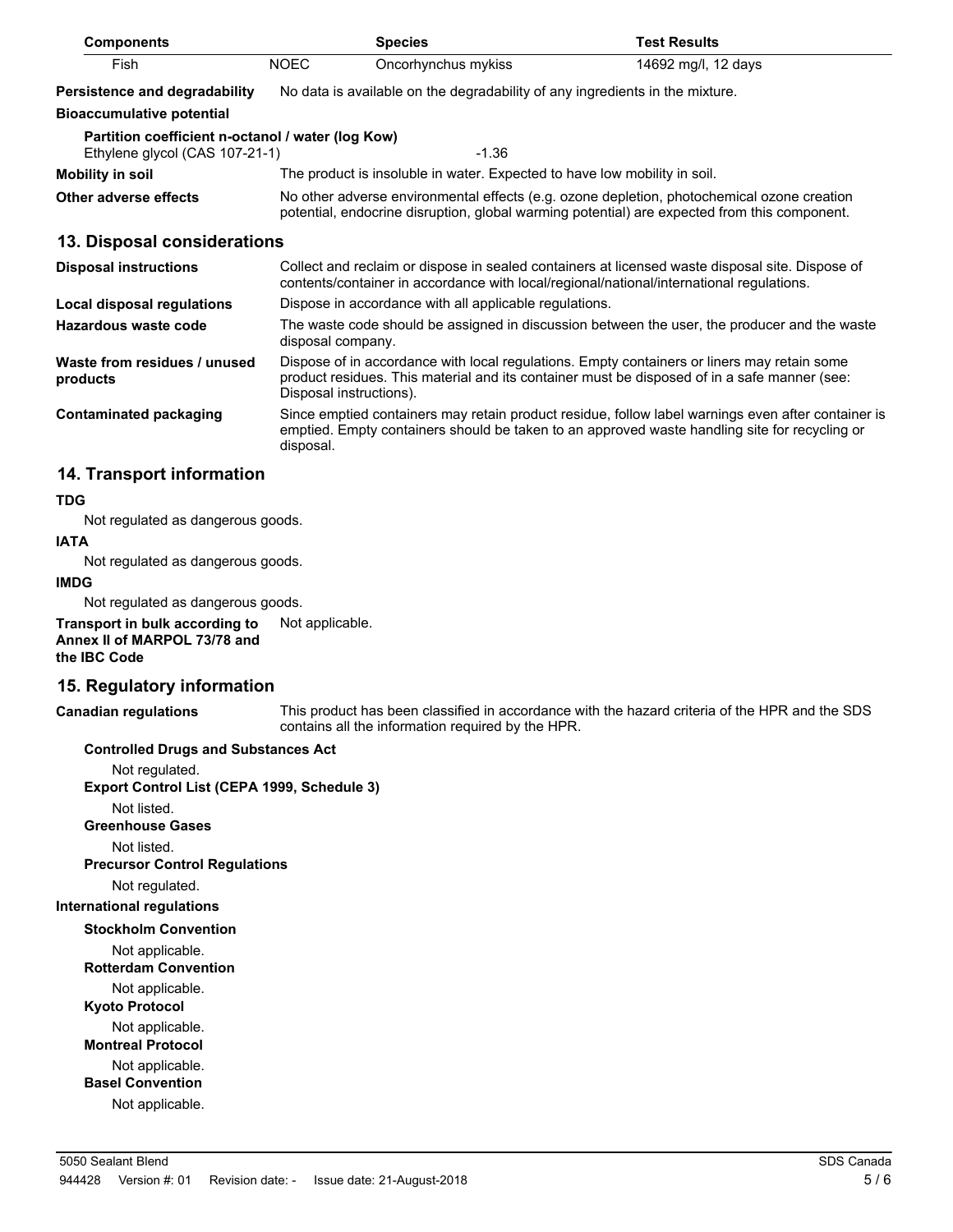| <b>Components</b>                                                                   | <b>Species</b>                                                                                                                                                                                                         |                                                                              | <b>Test Results</b> |
|-------------------------------------------------------------------------------------|------------------------------------------------------------------------------------------------------------------------------------------------------------------------------------------------------------------------|------------------------------------------------------------------------------|---------------------|
| Fish                                                                                | <b>NOEC</b>                                                                                                                                                                                                            | Oncorhynchus mykiss                                                          | 14692 mg/l, 12 days |
| <b>Persistence and degradability</b>                                                |                                                                                                                                                                                                                        | No data is available on the degradability of any ingredients in the mixture. |                     |
| <b>Bioaccumulative potential</b>                                                    |                                                                                                                                                                                                                        |                                                                              |                     |
| Partition coefficient n-octanol / water (log Kow)<br>Ethylene glycol (CAS 107-21-1) |                                                                                                                                                                                                                        | $-1.36$                                                                      |                     |
| Mobility in soil                                                                    |                                                                                                                                                                                                                        | The product is insoluble in water. Expected to have low mobility in soil.    |                     |
| Other adverse effects                                                               | No other adverse environmental effects (e.g. ozone depletion, photochemical ozone creation<br>potential, endocrine disruption, global warming potential) are expected from this component.                             |                                                                              |                     |
| 13. Disposal considerations                                                         |                                                                                                                                                                                                                        |                                                                              |                     |
| <b>Disposal instructions</b>                                                        | Collect and reclaim or dispose in sealed containers at licensed waste disposal site. Dispose of<br>contents/container in accordance with local/regional/national/international regulations.                            |                                                                              |                     |
| Local disposal regulations                                                          | Dispose in accordance with all applicable regulations.                                                                                                                                                                 |                                                                              |                     |
| Hazardous waste code                                                                | The waste code should be assigned in discussion between the user, the producer and the waste<br>disposal company.                                                                                                      |                                                                              |                     |
| Waste from residues / unused<br>products                                            | Dispose of in accordance with local regulations. Empty containers or liners may retain some<br>product residues. This material and its container must be disposed of in a safe manner (see:<br>Disposal instructions). |                                                                              |                     |
| <b>Contaminated packaging</b>                                                       | Since emptied containers may retain product residue, follow label warnings even after container is<br>emptied. Empty containers should be taken to an approved waste handling site for recycling or<br>disposal.       |                                                                              |                     |
| 14. Transport information                                                           |                                                                                                                                                                                                                        |                                                                              |                     |

#### **TDG**

Not regulated as dangerous goods.

#### **IATA**

Not regulated as dangerous goods.

#### **IMDG**

Not regulated as dangerous goods.

**Transport in bulk according to** Not applicable. **Annex II of MARPOL 73/78 and the IBC Code**

#### **15. Regulatory information**

This product has been classified in accordance with the hazard criteria of the HPR and the SDS contains all the information required by the HPR. **Canadian regulations**

#### **Controlled Drugs and Substances Act**

Not regulated. **Export Control List (CEPA 1999, Schedule 3)**

Not listed.

**Greenhouse Gases**

Not listed.

**Precursor Control Regulations**

Not regulated.

## **International regulations**

**Stockholm Convention**

Not applicable.

**Rotterdam Convention**

Not applicable.

**Kyoto Protocol**

Not applicable. **Montreal Protocol**

Not applicable.

**Basel Convention**

Not applicable.